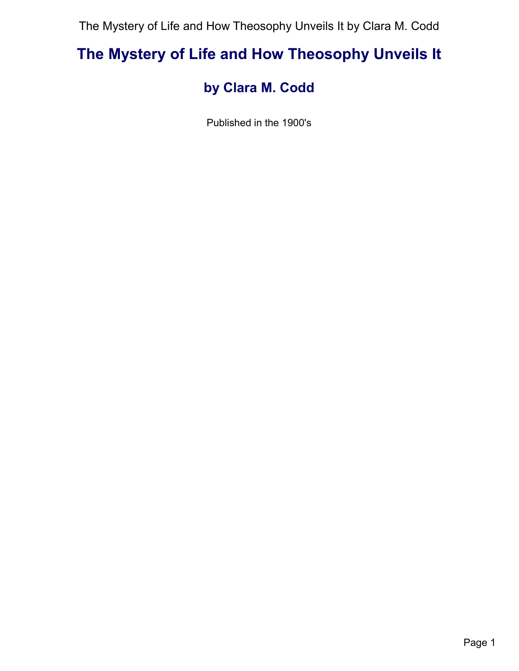# **The Mystery of Life and How Theosophy Unveils It**

# **by Clara M. Codd**

Published in the 1900's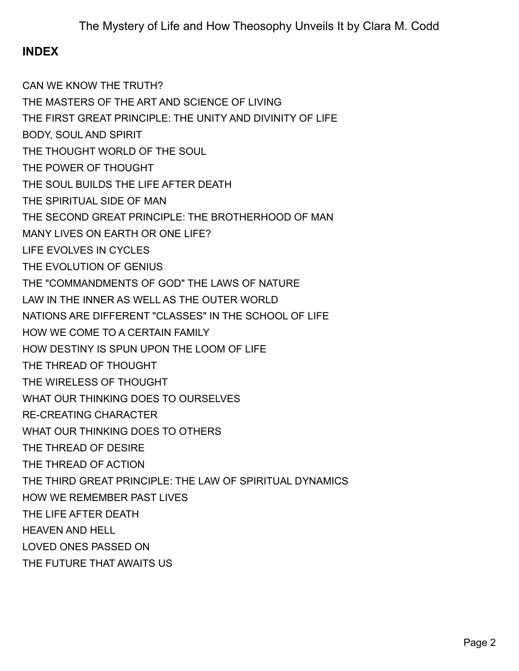# **INDEX**

[CAN WE KNOW THE TRUTH?](#page-2-0) [THE MASTERS OF THE ART AND SCIENCE OF LIVING](#page-3-0) [THE FIRST GREAT PRINCIPLE: THE UNITY AND DIVINITY OF LIFE](#page-4-0) [BODY, SOUL AND SPIRIT](#page-5-0) [THE THOUGHT WORLD OF THE SOUL](#page-6-0) [THE POWER OF THOUGHT](#page-7-0) [THE SOUL BUILDS THE LIFE AFTER DEATH](#page-8-0) [THE SPIRITUAL SIDE OF MAN](#page-9-0) [THE SECOND GREAT PRINCIPLE: THE BROTHERHOOD OF MAN](#page-10-0) [MANY LIVES ON EARTH OR ONE LIFE?](#page-11-0) [LIFE EVOLVES IN CYCLES](#page-12-0) [THE EVOLUTION OF GENIUS](#page-13-0) [THE "COMMANDMENTS OF GOD" THE LAWS OF NATURE](#page-14-0) [LAW IN THE INNER AS WELL AS THE OUTER WORLD](#page-15-0) [NATIONS ARE DIFFERENT "CLASSES" IN THE SCHOOL OF LIFE](#page-16-0) [HOW WE COME TO A CERTAIN FAMILY](#page-17-0) [HOW DESTINY IS SPUN UPON THE LOOM OF LIFE](#page-18-0) [THE THREAD OF THOUGHT](#page-19-0) [THE WIRELESS OF THOUGHT](#page-20-0) [WHAT OUR THINKING DOES TO OURSELVES](#page-21-0) [RE-CREATING CHARACTER](#page-22-0) [WHAT OUR THINKING DOES TO OTHERS](#page-23-0) [THE THREAD OF DESIRE](#page-24-0) [THE THREAD OF ACTION](#page-25-0)  [THE THIRD GREAT PRINCIPLE: THE LAW OF SPIRITUAL DYNAMICS](#page-26-0) [HOW WE REMEMBER PAST LIVES](#page-27-0) [THE LIFE AFTER DEATH](#page-28-0) [HEAVEN AND HELL](#page-29-0) [LOVED ONES PASSED ON](#page-30-0) [THE FUTURE THAT AWAITS US](#page-31-0)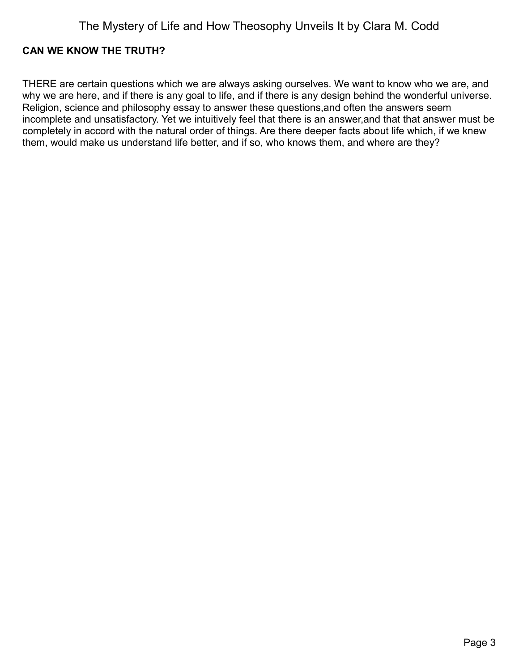### <span id="page-2-0"></span>**CAN WE KNOW THE TRUTH?**

THERE are certain questions which we are always asking ourselves. We want to know who we are, and why we are here, and if there is any goal to life, and if there is any design behind the wonderful universe. Religion, science and philosophy essay to answer these questions,and often the answers seem incomplete and unsatisfactory. Yet we intuitively feel that there is an answer,and that that answer must be completely in accord with the natural order of things. Are there deeper facts about life which, if we knew them, would make us understand life better, and if so, who knows them, and where are they?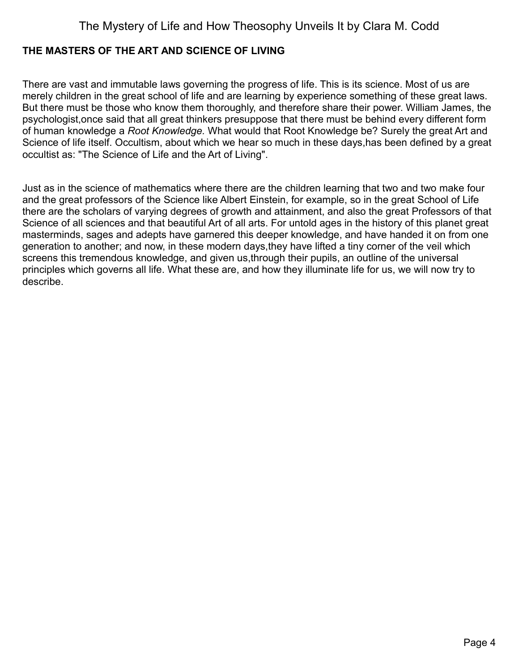### <span id="page-3-0"></span>**THE MASTERS OF THE ART AND SCIENCE OF LIVING**

There are vast and immutable laws governing the progress of life. This is its science. Most of us are merely children in the great school of life and are learning by experience something of these great laws. But there must be those who know them thoroughly, and therefore share their power. William James, the psychologist,once said that all great thinkers presuppose that there must be behind every different form of human knowledge a *Root Knowledge.* What would that Root Knowledge be? Surely the great Art and Science of life itself. Occultism, about which we hear so much in these days,has been defined by a great occultist as: "The Science of Life and the Art of Living".

Just as in the science of mathematics where there are the children learning that two and two make four and the great professors of the Science like Albert Einstein, for example, so in the great School of Life there are the scholars of varying degrees of growth and attainment, and also the great Professors of that Science of all sciences and that beautiful Art of all arts. For untold ages in the history of this planet great masterminds, sages and adepts have garnered this deeper knowledge, and have handed it on from one generation to another; and now, in these modern days,they have lifted a tiny corner of the veil which screens this tremendous knowledge, and given us,through their pupils, an outline of the universal principles which governs all life. What these are, and how they illuminate life for us, we will now try to describe.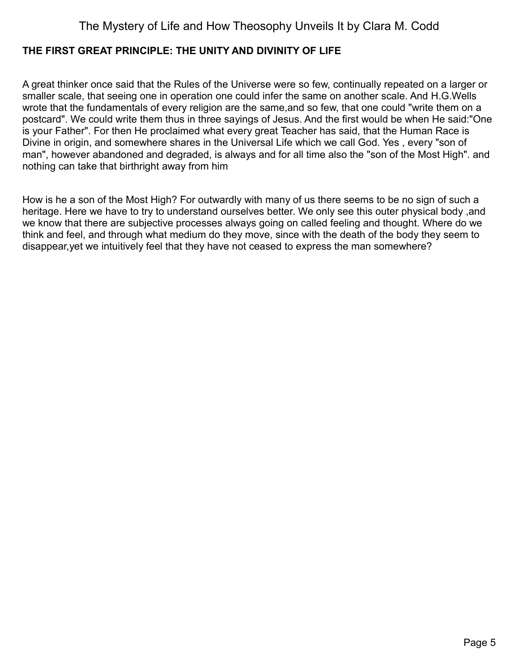### <span id="page-4-0"></span>**THE FIRST GREAT PRINCIPLE: THE UNITY AND DIVINITY OF LIFE**

A great thinker once said that the Rules of the Universe were so few, continually repeated on a larger or smaller scale, that seeing one in operation one could infer the same on another scale. And H.G.Wells wrote that the fundamentals of every religion are the same,and so few, that one could "write them on a postcard". We could write them thus in three sayings of Jesus. And the first would be when He said:"One is your Father". For then He proclaimed what every great Teacher has said, that the Human Race is Divine in origin, and somewhere shares in the Universal Life which we call God. Yes , every "son of man", however abandoned and degraded, is always and for all time also the "son of the Most High". and nothing can take that birthright away from him

How is he a son of the Most High? For outwardly with many of us there seems to be no sign of such a heritage. Here we have to try to understand ourselves better. We only see this outer physical body ,and we know that there are subjective processes always going on called feeling and thought. Where do we think and feel, and through what medium do they move, since with the death of the body they seem to disappear,yet we intuitively feel that they have not ceased to express the man somewhere?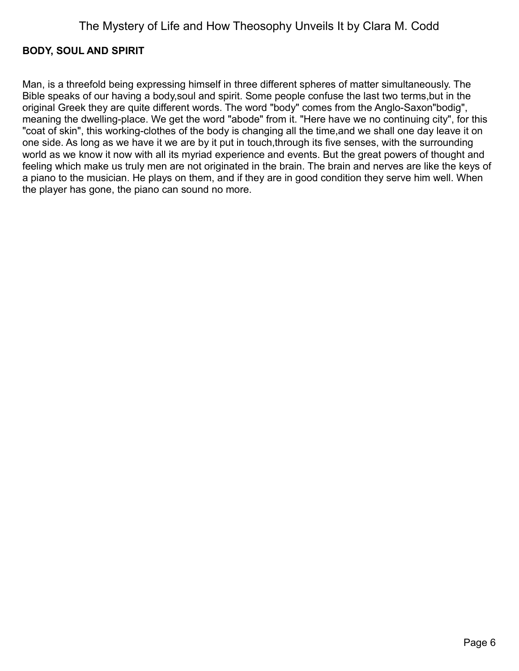### <span id="page-5-0"></span>**BODY, SOUL AND SPIRIT**

Man, is a threefold being expressing himself in three different spheres of matter simultaneously. The Bible speaks of our having a body,soul and spirit. Some people confuse the last two terms,but in the original Greek they are quite different words. The word "body" comes from the Anglo-Saxon"bodig", meaning the dwelling-place. We get the word "abode" from it. "Here have we no continuing city", for this "coat of skin", this working-clothes of the body is changing all the time,and we shall one day leave it on one side. As long as we have it we are by it put in touch,through its five senses, with the surrounding world as we know it now with all its myriad experience and events. But the great powers of thought and feeling which make us truly men are not originated in the brain. The brain and nerves are like the keys of a piano to the musician. He plays on them, and if they are in good condition they serve him well. When the player has gone, the piano can sound no more.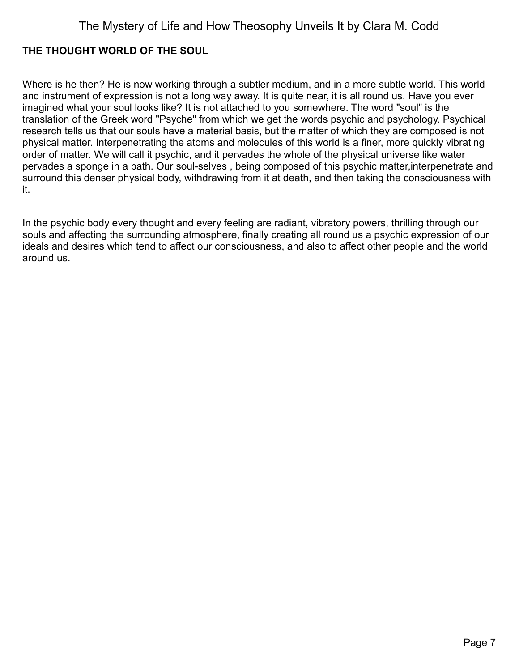### <span id="page-6-0"></span>**THE THOUGHT WORLD OF THE SOUL**

Where is he then? He is now working through a subtler medium, and in a more subtle world. This world and instrument of expression is not a long way away. It is quite near, it is all round us. Have you ever imagined what your soul looks like? It is not attached to you somewhere. The word "soul" is the translation of the Greek word "Psyche" from which we get the words psychic and psychology. Psychical research tells us that our souls have a material basis, but the matter of which they are composed is not physical matter. Interpenetrating the atoms and molecules of this world is a finer, more quickly vibrating order of matter. We will call it psychic, and it pervades the whole of the physical universe like water pervades a sponge in a bath. Our soul-selves , being composed of this psychic matter,interpenetrate and surround this denser physical body, withdrawing from it at death, and then taking the consciousness with it.

In the psychic body every thought and every feeling are radiant, vibratory powers, thrilling through our souls and affecting the surrounding atmosphere, finally creating all round us a psychic expression of our ideals and desires which tend to affect our consciousness, and also to affect other people and the world around us.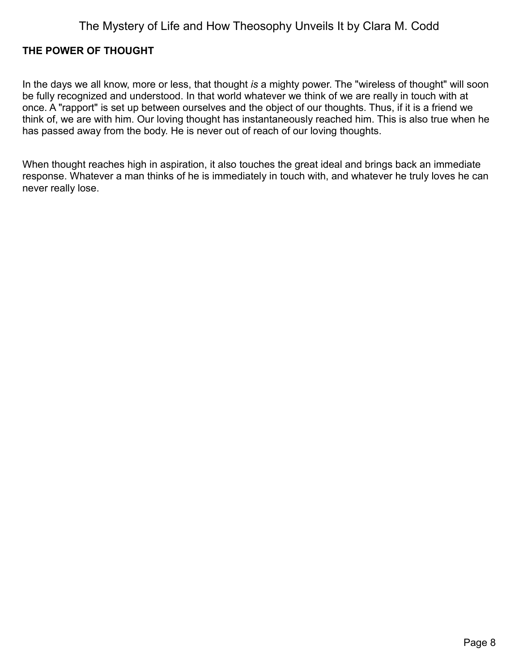### <span id="page-7-0"></span>**THE POWER OF THOUGHT**

In the days we all know, more or less, that thought *is* a mighty power. The "wireless of thought" will soon be fully recognized and understood. In that world whatever we think of we are really in touch with at once. A "rapport" is set up between ourselves and the object of our thoughts. Thus, if it is a friend we think of, we are with him. Our loving thought has instantaneously reached him. This is also true when he has passed away from the body. He is never out of reach of our loving thoughts.

When thought reaches high in aspiration, it also touches the great ideal and brings back an immediate response. Whatever a man thinks of he is immediately in touch with, and whatever he truly loves he can never really lose.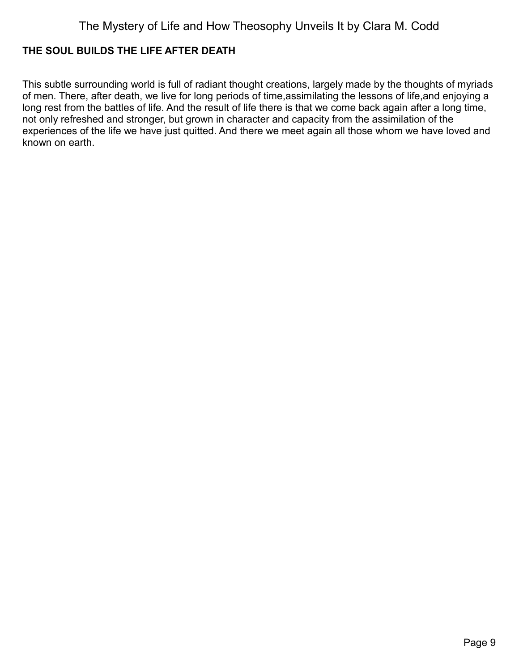### <span id="page-8-0"></span>**THE SOUL BUILDS THE LIFE AFTER DEATH**

This subtle surrounding world is full of radiant thought creations, largely made by the thoughts of myriads of men. There, after death, we live for long periods of time,assimilating the lessons of life,and enjoying a long rest from the battles of life. And the result of life there is that we come back again after a long time, not only refreshed and stronger, but grown in character and capacity from the assimilation of the experiences of the life we have just quitted. And there we meet again all those whom we have loved and known on earth.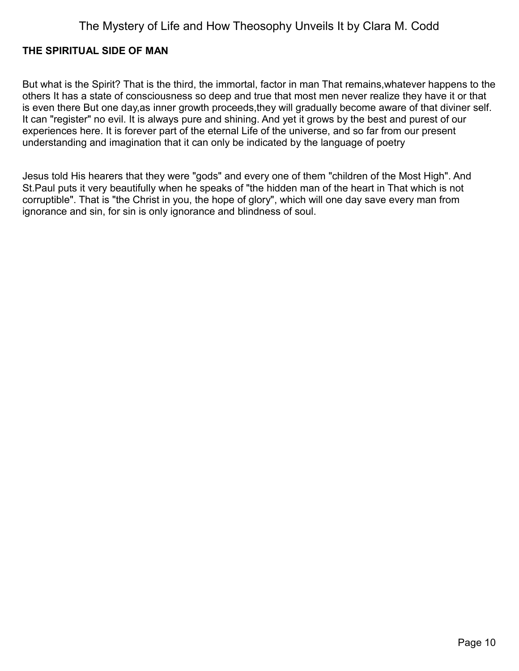### <span id="page-9-0"></span>**THE SPIRITUAL SIDE OF MAN**

But what is the Spirit? That is the third, the immortal, factor in man That remains,whatever happens to the others It has a state of consciousness so deep and true that most men never realize they have it or that is even there But one day,as inner growth proceeds,they will gradually become aware of that diviner self. It can "register" no evil. It is always pure and shining. And yet it grows by the best and purest of our experiences here. It is forever part of the eternal Life of the universe, and so far from our present understanding and imagination that it can only be indicated by the language of poetry

Jesus told His hearers that they were "gods" and every one of them "children of the Most High". And St.Paul puts it very beautifully when he speaks of "the hidden man of the heart in That which is not corruptible". That is "the Christ in you, the hope of glory", which will one day save every man from ignorance and sin, for sin is only ignorance and blindness of soul.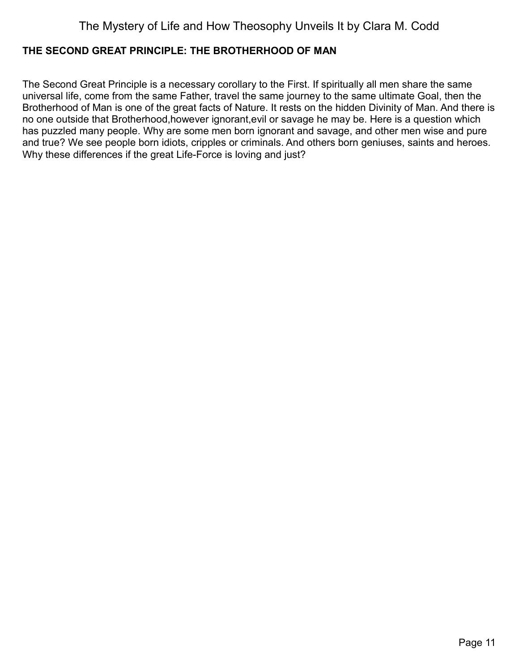### <span id="page-10-0"></span>**THE SECOND GREAT PRINCIPLE: THE BROTHERHOOD OF MAN**

The Second Great Principle is a necessary corollary to the First. If spiritually all men share the same universal life, come from the same Father, travel the same journey to the same ultimate Goal, then the Brotherhood of Man is one of the great facts of Nature. It rests on the hidden Divinity of Man. And there is no one outside that Brotherhood,however ignorant,evil or savage he may be. Here is a question which has puzzled many people. Why are some men born ignorant and savage, and other men wise and pure and true? We see people born idiots, cripples or criminals. And others born geniuses, saints and heroes. Why these differences if the great Life-Force is loving and just?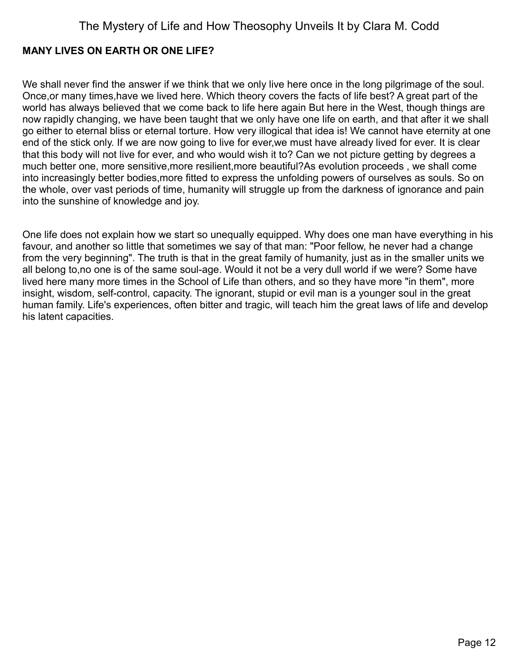### <span id="page-11-0"></span>**MANY LIVES ON EARTH OR ONE LIFE?**

We shall never find the answer if we think that we only live here once in the long pilgrimage of the soul. Once,or many times,have we lived here. Which theory covers the facts of life best? A great part of the world has always believed that we come back to life here again But here in the West, though things are now rapidly changing, we have been taught that we only have one life on earth, and that after it we shall go either to eternal bliss or eternal torture. How very illogical that idea is! We cannot have eternity at one end of the stick only. If we are now going to live for ever,we must have already lived for ever. It is clear that this body will not live for ever, and who would wish it to? Can we not picture getting by degrees a much better one, more sensitive,more resilient,more beautiful?As evolution proceeds , we shall come into increasingly better bodies,more fitted to express the unfolding powers of ourselves as souls. So on the whole, over vast periods of time, humanity will struggle up from the darkness of ignorance and pain into the sunshine of knowledge and joy.

One life does not explain how we start so unequally equipped. Why does one man have everything in his favour, and another so little that sometimes we say of that man: "Poor fellow, he never had a change from the very beginning". The truth is that in the great family of humanity, just as in the smaller units we all belong to,no one is of the same soul-age. Would it not be a very dull world if we were? Some have lived here many more times in the School of Life than others, and so they have more "in them", more insight, wisdom, self-control, capacity. The ignorant, stupid or evil man is a younger soul in the great human family. Life's experiences, often bitter and tragic, will teach him the great laws of life and develop his latent capacities.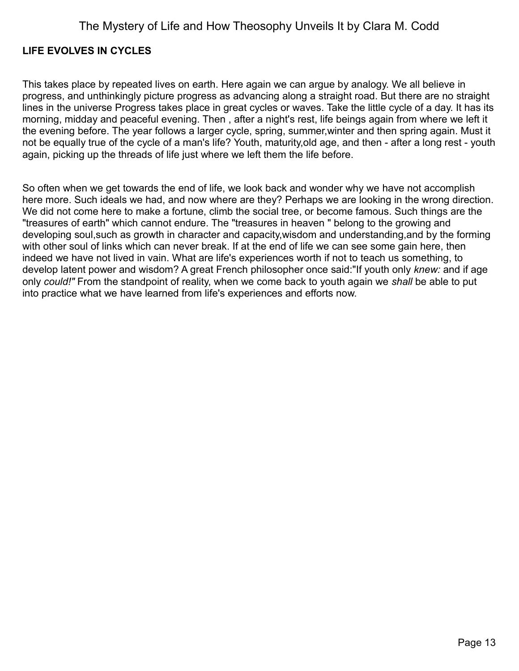### <span id="page-12-0"></span>**LIFE EVOLVES IN CYCLES**

This takes place by repeated lives on earth. Here again we can argue by analogy. We all believe in progress, and unthinkingly picture progress as advancing along a straight road. But there are no straight lines in the universe Progress takes place in great cycles or waves. Take the little cycle of a day. It has its morning, midday and peaceful evening. Then , after a night's rest, life beings again from where we left it the evening before. The year follows a larger cycle, spring, summer,winter and then spring again. Must it not be equally true of the cycle of a man's life? Youth, maturity,old age, and then - after a long rest - youth again, picking up the threads of life just where we left them the life before.

So often when we get towards the end of life, we look back and wonder why we have not accomplish here more. Such ideals we had, and now where are they? Perhaps we are looking in the wrong direction. We did not come here to make a fortune, climb the social tree, or become famous. Such things are the "treasures of earth" which cannot endure. The "treasures in heaven " belong to the growing and developing soul,such as growth in character and capacity,wisdom and understanding,and by the forming with other soul of links which can never break. If at the end of life we can see some gain here, then indeed we have not lived in vain. What are life's experiences worth if not to teach us something, to develop latent power and wisdom? A great French philosopher once said:"If youth only *knew:* and if age only *could!"* From the standpoint of reality, when we come back to youth again we *shall* be able to put into practice what we have learned from life's experiences and efforts now.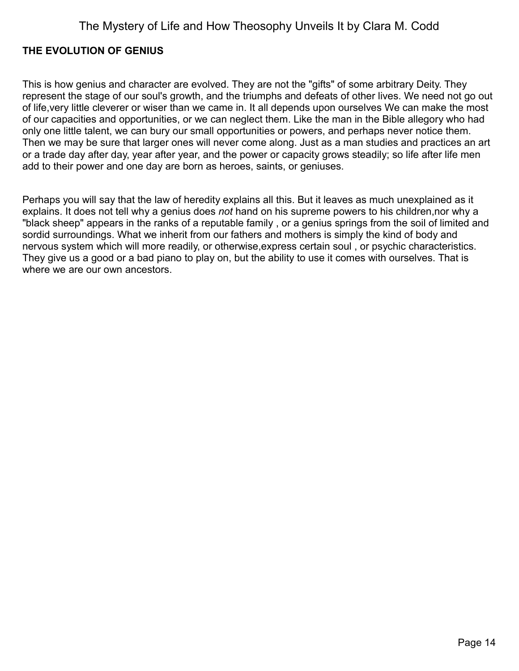### <span id="page-13-0"></span>**THE EVOLUTION OF GENIUS**

This is how genius and character are evolved. They are not the "gifts" of some arbitrary Deity. They represent the stage of our soul's growth, and the triumphs and defeats of other lives. We need not go out of life,very little cleverer or wiser than we came in. It all depends upon ourselves We can make the most of our capacities and opportunities, or we can neglect them. Like the man in the Bible allegory who had only one little talent, we can bury our small opportunities or powers, and perhaps never notice them. Then we may be sure that larger ones will never come along. Just as a man studies and practices an art or a trade day after day, year after year, and the power or capacity grows steadily; so life after life men add to their power and one day are born as heroes, saints, or geniuses.

Perhaps you will say that the law of heredity explains all this. But it leaves as much unexplained as it explains. It does not tell why a genius does *not* hand on his supreme powers to his children,nor why a "black sheep" appears in the ranks of a reputable family , or a genius springs from the soil of limited and sordid surroundings. What we inherit from our fathers and mothers is simply the kind of body and nervous system which will more readily, or otherwise,express certain soul , or psychic characteristics. They give us a good or a bad piano to play on, but the ability to use it comes with ourselves. That is where we are our own ancestors.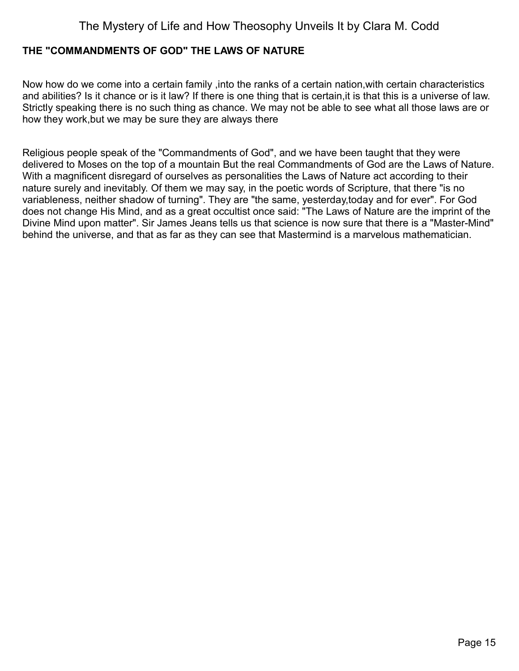#### <span id="page-14-0"></span>**THE "COMMANDMENTS OF GOD" THE LAWS OF NATURE**

Now how do we come into a certain family ,into the ranks of a certain nation,with certain characteristics and abilities? Is it chance or is it law? If there is one thing that is certain,it is that this is a universe of law. Strictly speaking there is no such thing as chance. We may not be able to see what all those laws are or how they work,but we may be sure they are always there

Religious people speak of the "Commandments of God", and we have been taught that they were delivered to Moses on the top of a mountain But the real Commandments of God are the Laws of Nature. With a magnificent disregard of ourselves as personalities the Laws of Nature act according to their nature surely and inevitably. Of them we may say, in the poetic words of Scripture, that there "is no variableness, neither shadow of turning". They are "the same, yesterday,today and for ever". For God does not change His Mind, and as a great occultist once said: "The Laws of Nature are the imprint of the Divine Mind upon matter". Sir James Jeans tells us that science is now sure that there is a "Master-Mind" behind the universe, and that as far as they can see that Mastermind is a marvelous mathematician.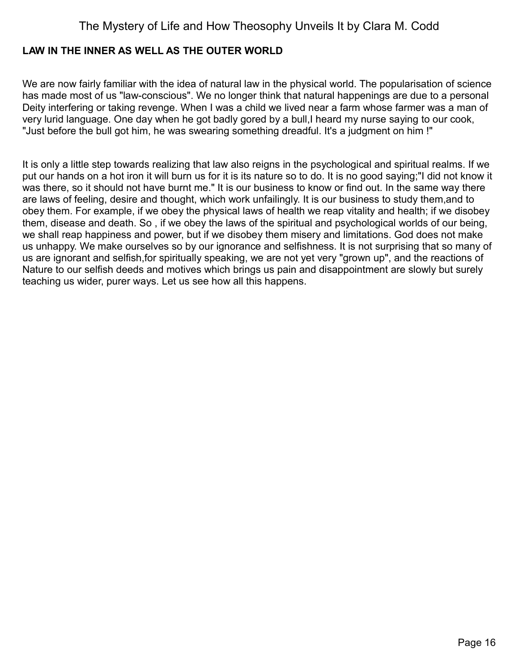### <span id="page-15-0"></span>**LAW IN THE INNER AS WELL AS THE OUTER WORLD**

We are now fairly familiar with the idea of natural law in the physical world. The popularisation of science has made most of us "law-conscious". We no longer think that natural happenings are due to a personal Deity interfering or taking revenge. When I was a child we lived near a farm whose farmer was a man of very lurid language. One day when he got badly gored by a bull,I heard my nurse saying to our cook, "Just before the bull got him, he was swearing something dreadful. It's a judgment on him !"

It is only a little step towards realizing that law also reigns in the psychological and spiritual realms. If we put our hands on a hot iron it will burn us for it is its nature so to do. It is no good saying;"I did not know it was there, so it should not have burnt me." It is our business to know or find out. In the same way there are laws of feeling, desire and thought, which work unfailingly. It is our business to study them,and to obey them. For example, if we obey the physical laws of health we reap vitality and health; if we disobey them, disease and death. So , if we obey the laws of the spiritual and psychological worlds of our being, we shall reap happiness and power, but if we disobey them misery and limitations. God does not make us unhappy. We make ourselves so by our ignorance and selfishness. It is not surprising that so many of us are ignorant and selfish,for spiritually speaking, we are not yet very "grown up", and the reactions of Nature to our selfish deeds and motives which brings us pain and disappointment are slowly but surely teaching us wider, purer ways. Let us see how all this happens.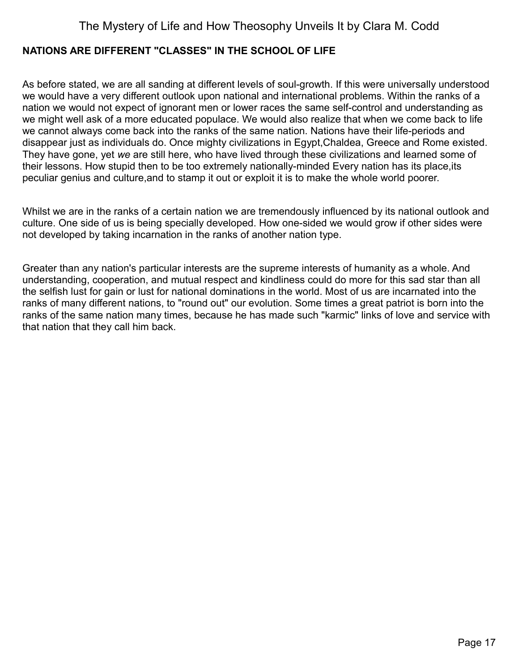### <span id="page-16-0"></span>**NATIONS ARE DIFFERENT "CLASSES" IN THE SCHOOL OF LIFE**

As before stated, we are all sanding at different levels of soul-growth. If this were universally understood we would have a very different outlook upon national and international problems. Within the ranks of a nation we would not expect of ignorant men or lower races the same self-control and understanding as we might well ask of a more educated populace. We would also realize that when we come back to life we cannot always come back into the ranks of the same nation. Nations have their life-periods and disappear just as individuals do. Once mighty civilizations in Egypt,Chaldea, Greece and Rome existed. They have gone, yet *we* are still here, who have lived through these civilizations and learned some of their lessons. How stupid then to be too extremely nationally-minded Every nation has its place,its peculiar genius and culture,and to stamp it out or exploit it is to make the whole world poorer.

Whilst we are in the ranks of a certain nation we are tremendously influenced by its national outlook and culture. One side of us is being specially developed. How one-sided we would grow if other sides were not developed by taking incarnation in the ranks of another nation type.

Greater than any nation's particular interests are the supreme interests of humanity as a whole. And understanding, cooperation, and mutual respect and kindliness could do more for this sad star than all the selfish lust for gain or lust for national dominations in the world. Most of us are incarnated into the ranks of many different nations, to "round out" our evolution. Some times a great patriot is born into the ranks of the same nation many times, because he has made such "karmic" links of love and service with that nation that they call him back.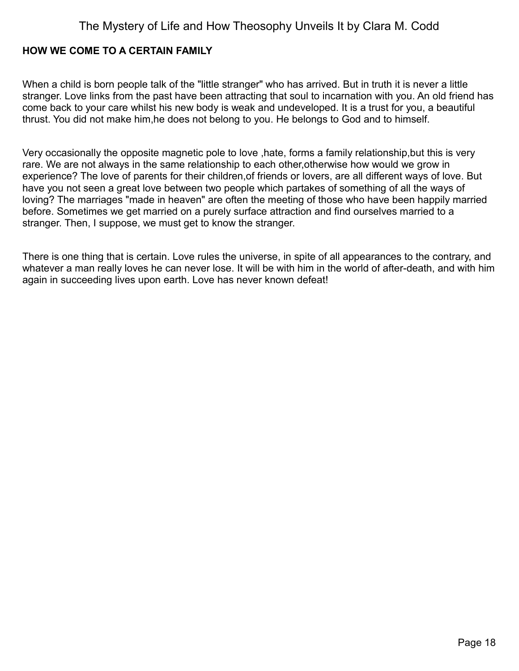#### <span id="page-17-0"></span>**HOW WE COME TO A CERTAIN FAMILY**

When a child is born people talk of the "little stranger" who has arrived. But in truth it is never a little stranger. Love links from the past have been attracting that soul to incarnation with you. An old friend has come back to your care whilst his new body is weak and undeveloped. It is a trust for you, a beautiful thrust. You did not make him,he does not belong to you. He belongs to God and to himself.

Very occasionally the opposite magnetic pole to love ,hate, forms a family relationship,but this is very rare. We are not always in the same relationship to each other,otherwise how would we grow in experience? The love of parents for their children,of friends or lovers, are all different ways of love. But have you not seen a great love between two people which partakes of something of all the ways of loving? The marriages "made in heaven" are often the meeting of those who have been happily married before. Sometimes we get married on a purely surface attraction and find ourselves married to a stranger. Then, I suppose, we must get to know the stranger.

There is one thing that is certain. Love rules the universe, in spite of all appearances to the contrary, and whatever a man really loves he can never lose. It will be with him in the world of after-death, and with him again in succeeding lives upon earth. Love has never known defeat!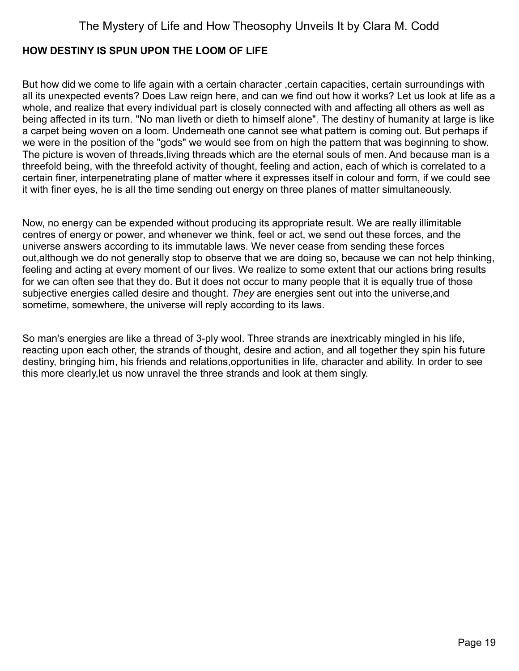#### <span id="page-18-0"></span>**HOW DESTINY IS SPUN UPON THE LOOM OF LIFE**

But how did we come to life again with a certain character , certain capacities, certain surroundings with all its unexpected events? Does Law reign here, and can we find out how it works? Let us look at life as a whole, and realize that every individual part is closely connected with and affecting all others as well as being affected in its turn. "No man liveth or dieth to himself alone". The destiny of humanity at large is like a carpet being woven on a loom. Underneath one cannot see what pattern is coming out. But perhaps if we were in the position of the "gods" we would see from on high the pattern that was beginning to show. The picture is woven of threads,living threads which are the eternal souls of men. And because man is a threefold being, with the threefold activity of thought, feeling and action, each of which is correlated to a certain finer, interpenetrating plane of matter where it expresses itself in colour and form, if we could see it with finer eyes, he is all the time sending out energy on three planes of matter simultaneously.

Now, no energy can be expended without producing its appropriate result. We are really illimitable centres of energy or power, and whenever we think, feel or act, we send out these forces, and the universe answers according to its immutable laws. We never cease from sending these forces out,although we do not generally stop to observe that we are doing so, because we can not help thinking, feeling and acting at every moment of our lives. We realize to some extent that our actions bring results for we can often see that they do. But it does not occur to many people that it is equally true of those subjective energies called desire and thought. *They* are energies sent out into the universe,and sometime, somewhere, the universe will reply according to its laws.

So man's energies are like a thread of 3-ply wool. Three strands are inextricably mingled in his life, reacting upon each other, the strands of thought, desire and action, and all together they spin his future destiny, bringing him, his friends and relations,opportunities in life, character and ability. In order to see this more clearly,let us now unravel the three strands and look at them singly.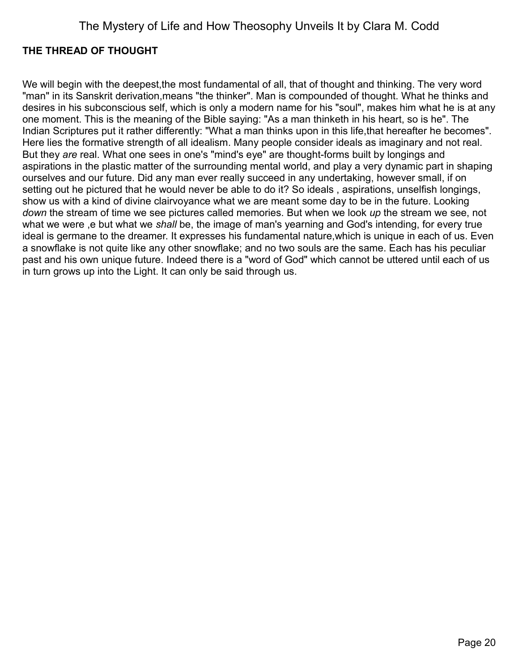### <span id="page-19-0"></span>**THE THREAD OF THOUGHT**

We will begin with the deepest, the most fundamental of all, that of thought and thinking. The very word "man" in its Sanskrit derivation,means "the thinker". Man is compounded of thought. What he thinks and desires in his subconscious self, which is only a modern name for his "soul", makes him what he is at any one moment. This is the meaning of the Bible saying: "As a man thinketh in his heart, so is he". The Indian Scriptures put it rather differently: "What a man thinks upon in this life,that hereafter he becomes". Here lies the formative strength of all idealism. Many people consider ideals as imaginary and not real. But they *are* real. What one sees in one's "mind's eye" are thought-forms built by longings and aspirations in the plastic matter of the surrounding mental world, and play a very dynamic part in shaping ourselves and our future. Did any man ever really succeed in any undertaking, however small, if on setting out he pictured that he would never be able to do it? So ideals , aspirations, unselfish longings, show us with a kind of divine clairvoyance what we are meant some day to be in the future. Looking *down* the stream of time we see pictures called memories. But when we look *up* the stream we see, not what we were ,e but what we *shall* be, the image of man's yearning and God's intending, for every true ideal is germane to the dreamer. It expresses his fundamental nature,which is unique in each of us. Even a snowflake is not quite like any other snowflake; and no two souls are the same. Each has his peculiar past and his own unique future. Indeed there is a "word of God" which cannot be uttered until each of us in turn grows up into the Light. It can only be said through us.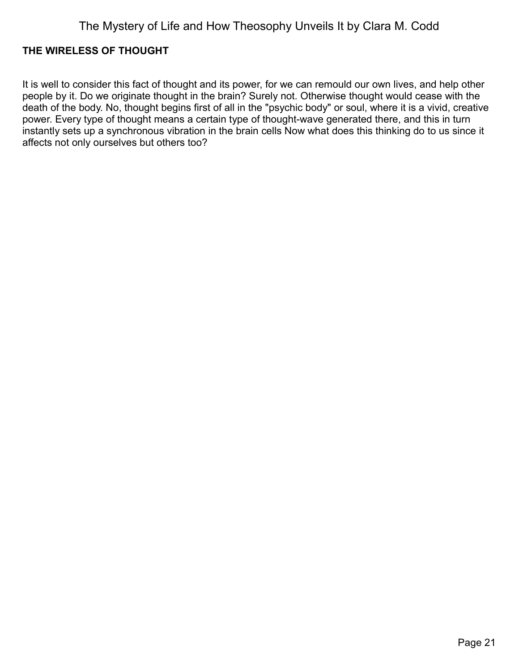### <span id="page-20-0"></span>**THE WIRELESS OF THOUGHT**

It is well to consider this fact of thought and its power, for we can remould our own lives, and help other people by it. Do we originate thought in the brain? Surely not. Otherwise thought would cease with the death of the body. No, thought begins first of all in the "psychic body" or soul, where it is a vivid, creative power. Every type of thought means a certain type of thought-wave generated there, and this in turn instantly sets up a synchronous vibration in the brain cells Now what does this thinking do to us since it affects not only ourselves but others too?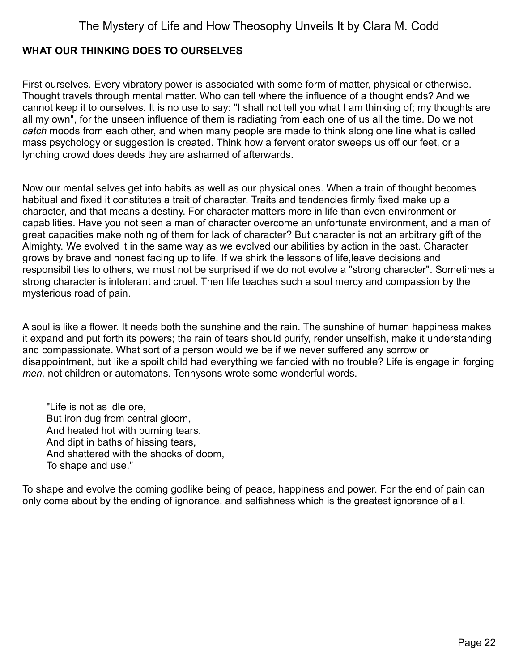### <span id="page-21-0"></span>**WHAT OUR THINKING DOES TO OURSELVES**

First ourselves. Every vibratory power is associated with some form of matter, physical or otherwise. Thought travels through mental matter. Who can tell where the influence of a thought ends? And we cannot keep it to ourselves. It is no use to say: "I shall not tell you what I am thinking of; my thoughts are all my own", for the unseen influence of them is radiating from each one of us all the time. Do we not *catch* moods from each other, and when many people are made to think along one line what is called mass psychology or suggestion is created. Think how a fervent orator sweeps us off our feet, or a lynching crowd does deeds they are ashamed of afterwards.

Now our mental selves get into habits as well as our physical ones. When a train of thought becomes habitual and fixed it constitutes a trait of character. Traits and tendencies firmly fixed make up a character, and that means a destiny. For character matters more in life than even environment or capabilities. Have you not seen a man of character overcome an unfortunate environment, and a man of great capacities make nothing of them for lack of character? But character is not an arbitrary gift of the Almighty. We evolved it in the same way as we evolved our abilities by action in the past. Character grows by brave and honest facing up to life. If we shirk the lessons of life,leave decisions and responsibilities to others, we must not be surprised if we do not evolve a "strong character". Sometimes a strong character is intolerant and cruel. Then life teaches such a soul mercy and compassion by the mysterious road of pain.

A soul is like a flower. It needs both the sunshine and the rain. The sunshine of human happiness makes it expand and put forth its powers; the rain of tears should purify, render unselfish, make it understanding and compassionate. What sort of a person would we be if we never suffered any sorrow or disappointment, but like a spoilt child had everything we fancied with no trouble? Life is engage in forging *men,* not children or automatons. Tennysons wrote some wonderful words.

"Life is not as idle ore, But iron dug from central gloom, And heated hot with burning tears. And dipt in baths of hissing tears, And shattered with the shocks of doom, To shape and use."

To shape and evolve the coming godlike being of peace, happiness and power. For the end of pain can only come about by the ending of ignorance, and selfishness which is the greatest ignorance of all.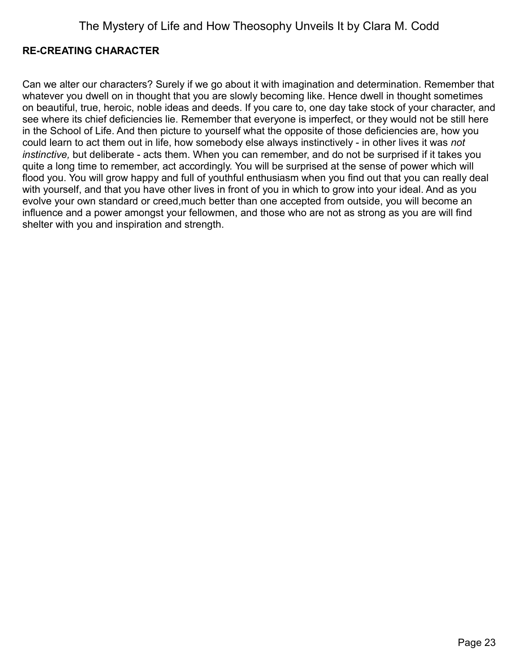### <span id="page-22-0"></span>**RE-CREATING CHARACTER**

Can we alter our characters? Surely if we go about it with imagination and determination. Remember that whatever you dwell on in thought that you are slowly becoming like. Hence dwell in thought sometimes on beautiful, true, heroic, noble ideas and deeds. If you care to, one day take stock of your character, and see where its chief deficiencies lie. Remember that everyone is imperfect, or they would not be still here in the School of Life. And then picture to yourself what the opposite of those deficiencies are, how you could learn to act them out in life, how somebody else always instinctively - in other lives it was *not instinctive,* but deliberate - acts them. When you can remember, and do not be surprised if it takes you quite a long time to remember, act accordingly. You will be surprised at the sense of power which will flood you. You will grow happy and full of youthful enthusiasm when you find out that you can really deal with yourself, and that you have other lives in front of you in which to grow into your ideal. And as you evolve your own standard or creed,much better than one accepted from outside, you will become an influence and a power amongst your fellowmen, and those who are not as strong as you are will find shelter with you and inspiration and strength.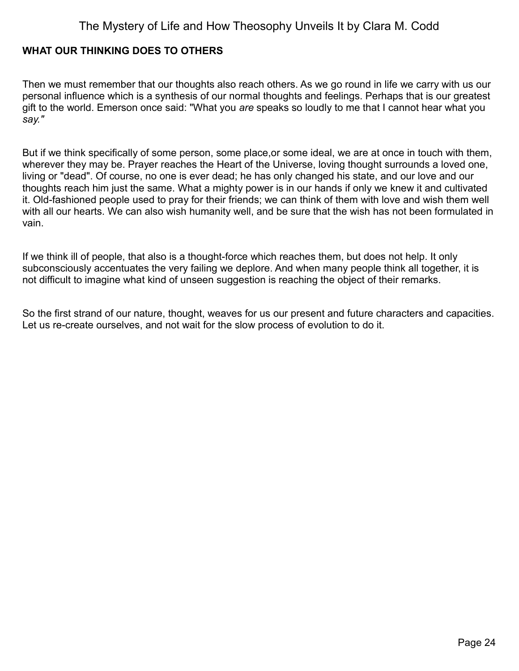### <span id="page-23-0"></span>**WHAT OUR THINKING DOES TO OTHERS**

Then we must remember that our thoughts also reach others. As we go round in life we carry with us our personal influence which is a synthesis of our normal thoughts and feelings. Perhaps that is our greatest gift to the world. Emerson once said: "What you *are* speaks so loudly to me that I cannot hear what you *say."*

But if we think specifically of some person, some place,or some ideal, we are at once in touch with them, wherever they may be. Prayer reaches the Heart of the Universe, loving thought surrounds a loved one, living or "dead". Of course, no one is ever dead; he has only changed his state, and our love and our thoughts reach him just the same. What a mighty power is in our hands if only we knew it and cultivated it. Old-fashioned people used to pray for their friends; we can think of them with love and wish them well with all our hearts. We can also wish humanity well, and be sure that the wish has not been formulated in vain.

If we think ill of people, that also is a thought-force which reaches them, but does not help. It only subconsciously accentuates the very failing we deplore. And when many people think all together, it is not difficult to imagine what kind of unseen suggestion is reaching the object of their remarks.

So the first strand of our nature, thought, weaves for us our present and future characters and capacities. Let us re-create ourselves, and not wait for the slow process of evolution to do it.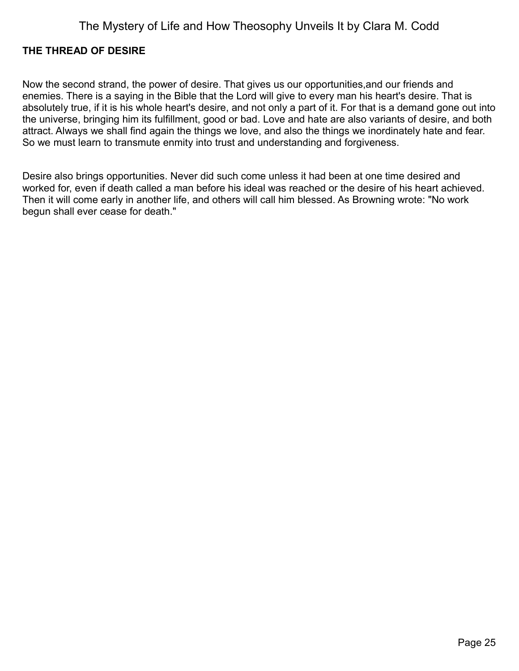#### <span id="page-24-0"></span>**THE THREAD OF DESIRE**

Now the second strand, the power of desire. That gives us our opportunities,and our friends and enemies. There is a saying in the Bible that the Lord will give to every man his heart's desire. That is absolutely true, if it is his whole heart's desire, and not only a part of it. For that is a demand gone out into the universe, bringing him its fulfillment, good or bad. Love and hate are also variants of desire, and both attract. Always we shall find again the things we love, and also the things we inordinately hate and fear. So we must learn to transmute enmity into trust and understanding and forgiveness.

Desire also brings opportunities. Never did such come unless it had been at one time desired and worked for, even if death called a man before his ideal was reached or the desire of his heart achieved. Then it will come early in another life, and others will call him blessed. As Browning wrote: "No work begun shall ever cease for death."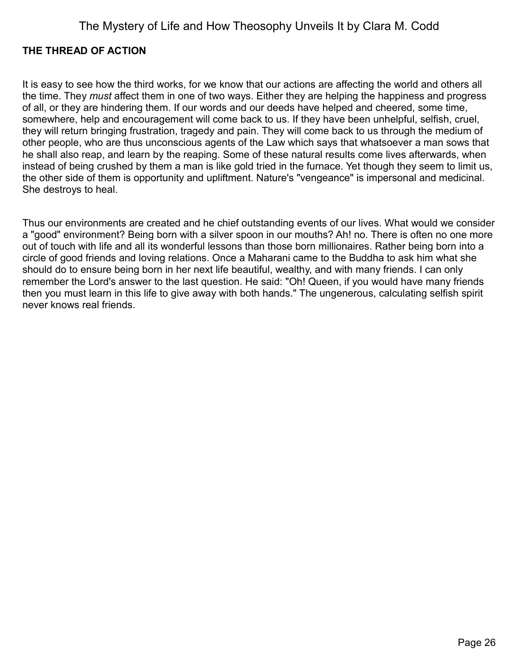#### <span id="page-25-0"></span>**THE THREAD OF ACTION**

It is easy to see how the third works, for we know that our actions are affecting the world and others all the time. They *must* affect them in one of two ways. Either they are helping the happiness and progress of all, or they are hindering them. If our words and our deeds have helped and cheered, some time, somewhere, help and encouragement will come back to us. If they have been unhelpful, selfish, cruel, they will return bringing frustration, tragedy and pain. They will come back to us through the medium of other people, who are thus unconscious agents of the Law which says that whatsoever a man sows that he shall also reap, and learn by the reaping. Some of these natural results come lives afterwards, when instead of being crushed by them a man is like gold tried in the furnace. Yet though they seem to limit us, the other side of them is opportunity and upliftment. Nature's "vengeance" is impersonal and medicinal. She destroys to heal.

Thus our environments are created and he chief outstanding events of our lives. What would we consider a "good" environment? Being born with a silver spoon in our mouths? Ah! no. There is often no one more out of touch with life and all its wonderful lessons than those born millionaires. Rather being born into a circle of good friends and loving relations. Once a Maharani came to the Buddha to ask him what she should do to ensure being born in her next life beautiful, wealthy, and with many friends. I can only remember the Lord's answer to the last question. He said: "Oh! Queen, if you would have many friends then you must learn in this life to give away with both hands." The ungenerous, calculating selfish spirit never knows real friends.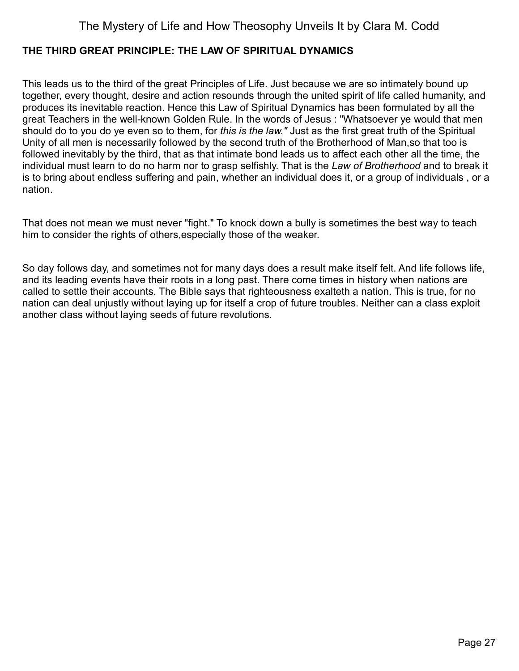### <span id="page-26-0"></span>**THE THIRD GREAT PRINCIPLE: THE LAW OF SPIRITUAL DYNAMICS**

This leads us to the third of the great Principles of Life. Just because we are so intimately bound up together, every thought, desire and action resounds through the united spirit of life called humanity, and produces its inevitable reaction. Hence this Law of Spiritual Dynamics has been formulated by all the great Teachers in the well-known Golden Rule. In the words of Jesus : "Whatsoever ye would that men should do to you do ye even so to them, for *this is the law."* Just as the first great truth of the Spiritual Unity of all men is necessarily followed by the second truth of the Brotherhood of Man,so that too is followed inevitably by the third, that as that intimate bond leads us to affect each other all the time, the individual must learn to do no harm nor to grasp selfishly. That is the *Law of Brotherhood* and to break it is to bring about endless suffering and pain, whether an individual does it, or a group of individuals , or a nation.

That does not mean we must never "fight." To knock down a bully is sometimes the best way to teach him to consider the rights of others,especially those of the weaker.

So day follows day, and sometimes not for many days does a result make itself felt. And life follows life, and its leading events have their roots in a long past. There come times in history when nations are called to settle their accounts. The Bible says that righteousness exalteth a nation. This is true, for no nation can deal unjustly without laying up for itself a crop of future troubles. Neither can a class exploit another class without laying seeds of future revolutions.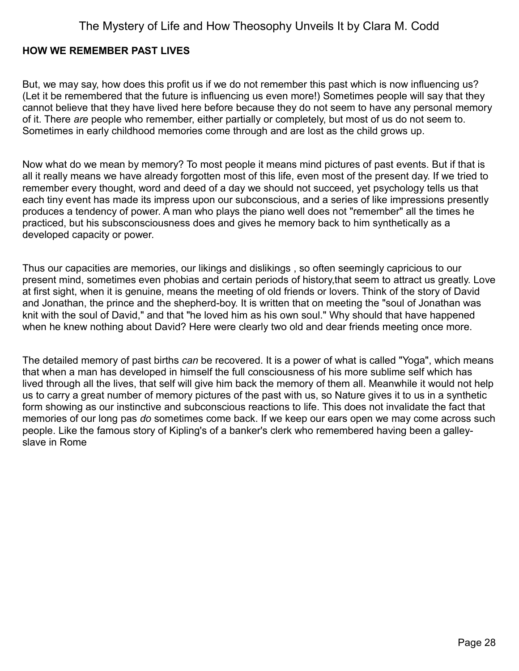#### <span id="page-27-0"></span>**HOW WE REMEMBER PAST LIVES**

But, we may say, how does this profit us if we do not remember this past which is now influencing us? (Let it be remembered that the future is influencing us even more!) Sometimes people will say that they cannot believe that they have lived here before because they do not seem to have any personal memory of it. There *are* people who remember, either partially or completely, but most of us do not seem to. Sometimes in early childhood memories come through and are lost as the child grows up.

Now what do we mean by memory? To most people it means mind pictures of past events. But if that is all it really means we have already forgotten most of this life, even most of the present day. If we tried to remember every thought, word and deed of a day we should not succeed, yet psychology tells us that each tiny event has made its impress upon our subconscious, and a series of like impressions presently produces a tendency of power. A man who plays the piano well does not "remember" all the times he practiced, but his subsconsciousness does and gives he memory back to him synthetically as a developed capacity or power.

Thus our capacities are memories, our likings and dislikings , so often seemingly capricious to our present mind, sometimes even phobias and certain periods of history,that seem to attract us greatly. Love at first sight, when it is genuine, means the meeting of old friends or lovers. Think of the story of David and Jonathan, the prince and the shepherd-boy. It is written that on meeting the "soul of Jonathan was knit with the soul of David," and that "he loved him as his own soul." Why should that have happened when he knew nothing about David? Here were clearly two old and dear friends meeting once more.

The detailed memory of past births *can* be recovered. It is a power of what is called "Yoga", which means that when a man has developed in himself the full consciousness of his more sublime self which has lived through all the lives, that self will give him back the memory of them all. Meanwhile it would not help us to carry a great number of memory pictures of the past with us, so Nature gives it to us in a synthetic form showing as our instinctive and subconscious reactions to life. This does not invalidate the fact that memories of our long pas *do* sometimes come back. If we keep our ears open we may come across such people. Like the famous story of Kipling's of a banker's clerk who remembered having been a galleyslave in Rome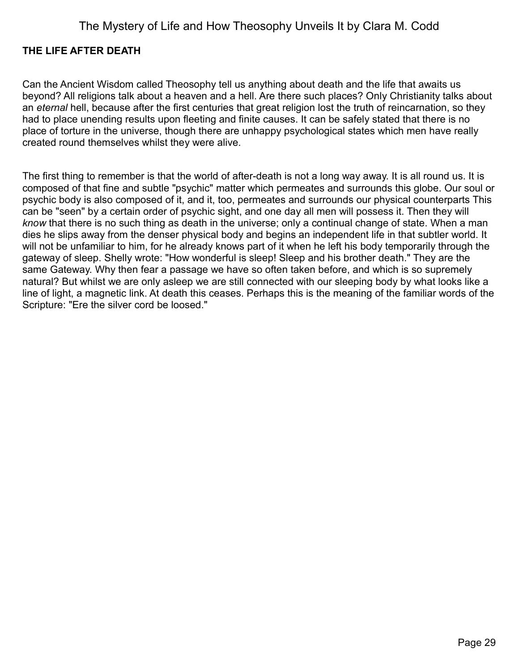#### <span id="page-28-0"></span>**THE LIFE AFTER DEATH**

Can the Ancient Wisdom called Theosophy tell us anything about death and the life that awaits us beyond? All religions talk about a heaven and a hell. Are there such places? Only Christianity talks about an *eternal* hell, because after the first centuries that great religion lost the truth of reincarnation, so they had to place unending results upon fleeting and finite causes. It can be safely stated that there is no place of torture in the universe, though there are unhappy psychological states which men have really created round themselves whilst they were alive.

The first thing to remember is that the world of after-death is not a long way away. It is all round us. It is composed of that fine and subtle "psychic" matter which permeates and surrounds this globe. Our soul or psychic body is also composed of it, and it, too, permeates and surrounds our physical counterparts This can be "seen" by a certain order of psychic sight, and one day all men will possess it. Then they will *know* that there is no such thing as death in the universe; only a continual change of state. When a man dies he slips away from the denser physical body and begins an independent life in that subtler world. It will not be unfamiliar to him, for he already knows part of it when he left his body temporarily through the gateway of sleep. Shelly wrote: "How wonderful is sleep! Sleep and his brother death." They are the same Gateway. Why then fear a passage we have so often taken before, and which is so supremely natural? But whilst we are only asleep we are still connected with our sleeping body by what looks like a line of light, a magnetic link. At death this ceases. Perhaps this is the meaning of the familiar words of the Scripture: "Ere the silver cord be loosed."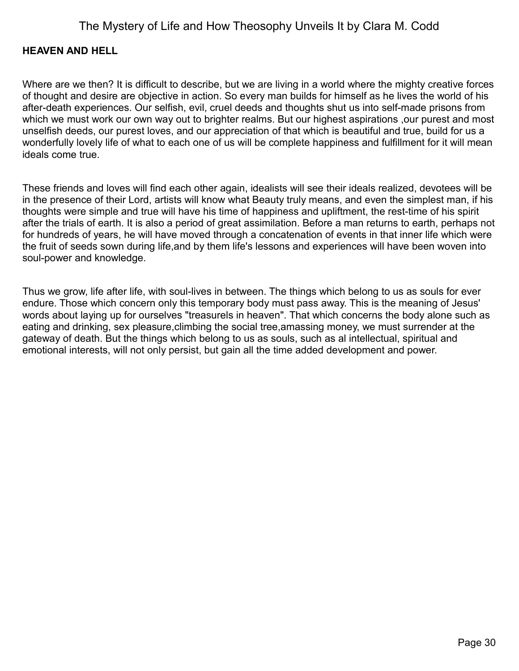#### <span id="page-29-0"></span>**HEAVEN AND HELL**

Where are we then? It is difficult to describe, but we are living in a world where the mighty creative forces of thought and desire are objective in action. So every man builds for himself as he lives the world of his after-death experiences. Our selfish, evil, cruel deeds and thoughts shut us into self-made prisons from which we must work our own way out to brighter realms. But our highest aspirations ,our purest and most unselfish deeds, our purest loves, and our appreciation of that which is beautiful and true, build for us a wonderfully lovely life of what to each one of us will be complete happiness and fulfillment for it will mean ideals come true.

These friends and loves will find each other again, idealists will see their ideals realized, devotees will be in the presence of their Lord, artists will know what Beauty truly means, and even the simplest man, if his thoughts were simple and true will have his time of happiness and upliftment, the rest-time of his spirit after the trials of earth. It is also a period of great assimilation. Before a man returns to earth, perhaps not for hundreds of years, he will have moved through a concatenation of events in that inner life which were the fruit of seeds sown during life,and by them life's lessons and experiences will have been woven into soul-power and knowledge.

Thus we grow, life after life, with soul-lives in between. The things which belong to us as souls for ever endure. Those which concern only this temporary body must pass away. This is the meaning of Jesus' words about laying up for ourselves "treasurels in heaven". That which concerns the body alone such as eating and drinking, sex pleasure,climbing the social tree,amassing money, we must surrender at the gateway of death. But the things which belong to us as souls, such as al intellectual, spiritual and emotional interests, will not only persist, but gain all the time added development and power.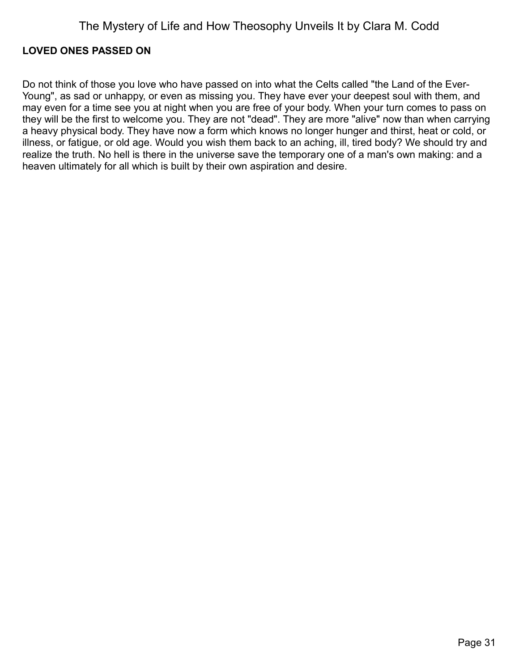#### <span id="page-30-0"></span>**LOVED ONES PASSED ON**

Do not think of those you love who have passed on into what the Celts called "the Land of the Ever-Young", as sad or unhappy, or even as missing you. They have ever your deepest soul with them, and may even for a time see you at night when you are free of your body. When your turn comes to pass on they will be the first to welcome you. They are not "dead". They are more "alive" now than when carrying a heavy physical body. They have now a form which knows no longer hunger and thirst, heat or cold, or illness, or fatigue, or old age. Would you wish them back to an aching, ill, tired body? We should try and realize the truth. No hell is there in the universe save the temporary one of a man's own making: and a heaven ultimately for all which is built by their own aspiration and desire.